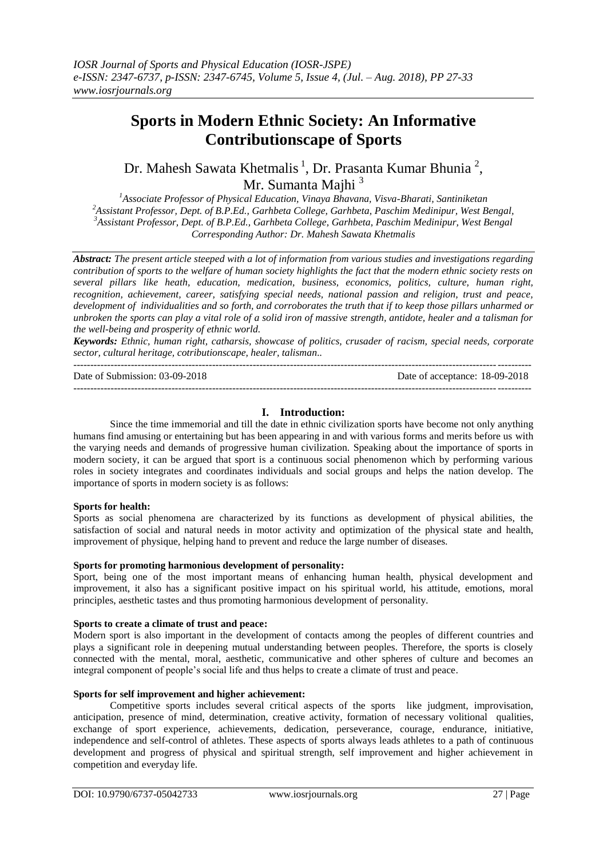# **Sports in Modern Ethnic Society: An Informative Contributionscape of Sports**

Dr. Mahesh Sawata Khetmalis<sup>1</sup>, Dr. Prasanta Kumar Bhunia<sup>2</sup>, Mr. Sumanta Maihi<sup>3</sup>

*Associate Professor of Physical Education, Vinaya Bhavana, Visva-Bharati, Santiniketan Assistant Professor, Dept. of B.P.Ed., Garhbeta College, Garhbeta, Paschim Medinipur, West Bengal, Assistant Professor, Dept. of B.P.Ed., Garhbeta College, Garhbeta, Paschim Medinipur, West Bengal Corresponding Author: Dr. Mahesh Sawata Khetmalis*

*Abstract: The present article steeped with a lot of information from various studies and investigations regarding contribution of sports to the welfare of human society highlights the fact that the modern ethnic society rests on several pillars like heath, education, medication, business, economics, politics, culture, human right, recognition, achievement, career, satisfying special needs, national passion and religion, trust and peace, development of individualities and so forth, and corroborates the truth that if to keep those pillars unharmed or unbroken the sports can play a vital role of a solid iron of massive strength, antidote, healer and a talisman for the well-being and prosperity of ethnic world.*

*Keywords: Ethnic, human right, catharsis, showcase of politics, crusader of racism, special needs, corporate sector, cultural heritage, cotributionscape, healer, talisman..* ---------------------------------------------------------------------------------------------------------------------------------------

---------------------------------------------------------------------------------------------------------------------------------------

Date of Submission: 03-09-2018 Date of acceptance: 18-09-2018

# **I. Introduction:**

Since the time immemorial and till the date in ethnic civilization sports have become not only anything humans find amusing or entertaining but has been appearing in and with various forms and merits before us with the varying needs and demands of progressive human civilization. Speaking about the importance of sports in modern society, it can be argued that sport is a continuous social phenomenon which by performing various roles in society integrates and coordinates individuals and social groups and helps the nation develop. The importance of sports in modern society is as follows:

# **Sports for health:**

Sports as social phenomena are characterized by its functions as development of physical abilities, the satisfaction of social and natural needs in motor activity and optimization of the physical state and health, improvement of physique, helping hand to prevent and reduce the large number of diseases.

## **Sports for promoting harmonious development of personality:**

Sport, being one of the most important means of enhancing human health, physical development and improvement, it also has a significant positive impact on his spiritual world, his attitude, emotions, moral principles, aesthetic tastes and thus promoting harmonious development of personality.

## **Sports to create a climate of trust and peace:**

Modern sport is also important in the development of contacts among the peoples of different countries and plays a significant role in deepening mutual understanding between peoples. Therefore, the sports is closely connected with the mental, moral, aesthetic, communicative and other spheres of culture and becomes an integral component of people"s social life and thus helps to create a climate of trust and peace.

# **Sports for self improvement and higher achievement:**

Competitive sports includes several critical aspects of the sports like judgment, improvisation, anticipation, presence of mind, determination, creative activity, formation of necessary volitional qualities, exchange of sport experience, achievements, dedication, perseverance, courage, endurance, initiative, independence and self-control of athletes. These aspects of sports always leads athletes to a path of continuous development and progress of physical and spiritual strength, self improvement and higher achievement in competition and everyday life.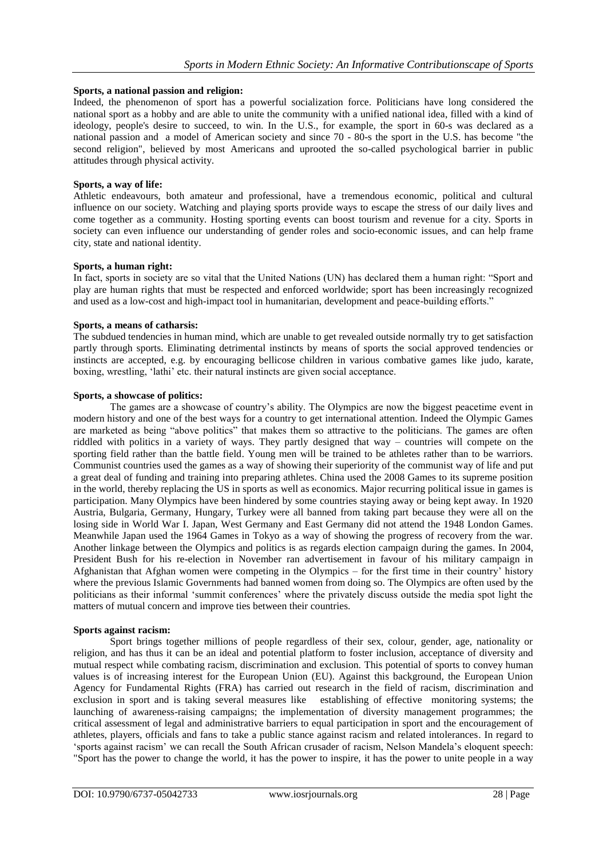#### **Sports, a national passion and religion:**

Indeed, the phenomenon of sport has a powerful socialization force. Politicians have long considered the national sport as a hobby and are able to unite the community with a unified national idea, filled with a kind of ideology, people's desire to succeed, to win. In the U.S., for example, the sport in 60-s was declared as a national passion and a model of American society and since 70 - 80-s the sport in the U.S. has become "the second religion", believed by most Americans and uprooted the so-called psychological barrier in public attitudes through physical activity.

#### **Sports, a way of life:**

Athletic endeavours, both amateur and professional, have a tremendous economic, political and cultural influence on our society. Watching and playing sports provide ways to escape the stress of our daily lives and come together as a community. Hosting sporting events can boost tourism and revenue for a city. Sports in society can even influence our understanding of gender roles and socio-economic issues, and can help frame city, state and national identity.

#### **Sports, a human right:**

In fact, sports in society are so vital that the United Nations (UN) has declared them a human right: "Sport and play are human rights that must be respected and enforced worldwide; sport has been increasingly recognized and used as a low-cost and high-impact tool in humanitarian, development and peace-building efforts."

#### **Sports, a means of catharsis:**

The subdued tendencies in human mind, which are unable to get revealed outside normally try to get satisfaction partly through sports. Eliminating detrimental instincts by means of sports the social approved tendencies or instincts are accepted, e.g. by encouraging bellicose children in various combative games like judo, karate, boxing, wrestling, "lathi" etc. their natural instincts are given social acceptance.

#### **Sports, a showcase of politics:**

The games are a showcase of country's ability. The Olympics are now the biggest peacetime event in modern history and one of the best ways for a country to get international attention. Indeed the Olympic Games are marketed as being "above politics" that makes them so attractive to the politicians. The games are often riddled with politics in a variety of ways. They partly designed that way – countries will compete on the sporting field rather than the battle field. Young men will be trained to be athletes rather than to be warriors. Communist countries used the games as a way of showing their superiority of the communist way of life and put a great deal of funding and training into preparing athletes. China used the 2008 Games to its supreme position in the world, thereby replacing the US in sports as well as economics. Major recurring political issue in games is participation. Many Olympics have been hindered by some countries staying away or being kept away. In 1920 Austria, Bulgaria, Germany, Hungary, Turkey were all banned from taking part because they were all on the losing side in World War I. Japan, West Germany and East Germany did not attend the 1948 London Games. Meanwhile Japan used the 1964 Games in Tokyo as a way of showing the progress of recovery from the war. Another linkage between the Olympics and politics is as regards election campaign during the games. In 2004, President Bush for his re-election in November ran advertisement in favour of his military campaign in Afghanistan that Afghan women were competing in the Olympics – for the first time in their country" history where the previous Islamic Governments had banned women from doing so. The Olympics are often used by the politicians as their informal "summit conferences" where the privately discuss outside the media spot light the matters of mutual concern and improve ties between their countries.

#### **Sports against racism:**

Sport brings together millions of people regardless of their sex, colour, gender, age, nationality or religion, and has thus it can be an ideal and potential platform to foster inclusion, acceptance of diversity and mutual respect while combating racism, discrimination and exclusion. This potential of sports to convey human values is of increasing interest for the European Union (EU). Against this background, the European Union Agency for Fundamental Rights (FRA) has carried out research in the field of racism, discrimination and exclusion in sport and is taking several measures like establishing of effective monitoring systems; the launching of awareness-raising campaigns; the implementation of diversity management programmes; the critical assessment of legal and administrative barriers to equal participation in sport and the encouragement of athletes, players, officials and fans to take a public stance against racism and related intolerances. In regard to "sports against racism" we can recall the South African crusader of racism, Nelson Mandela"s eloquent speech: "Sport has the power to change the world, it has the power to inspire, it has the power to unite people in a way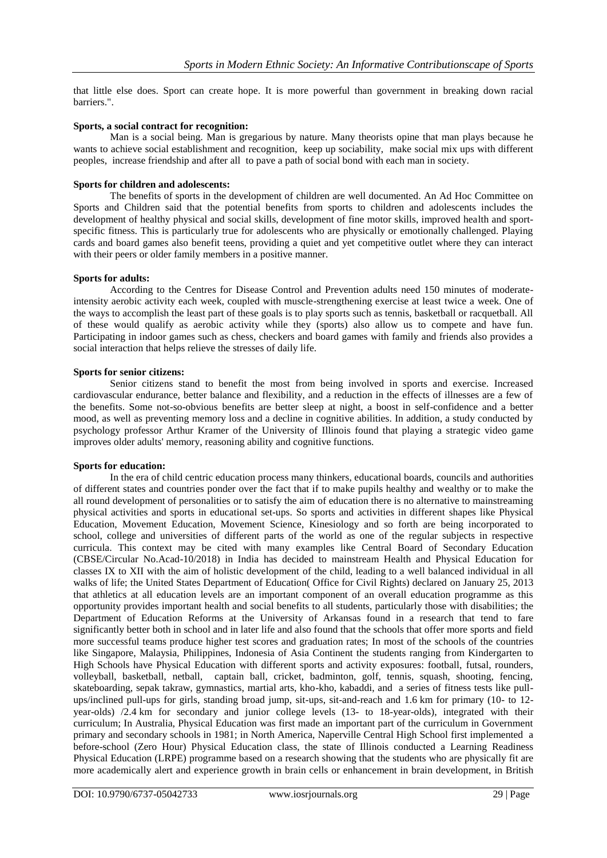that little else does. Sport can create hope. It is more powerful than government in breaking down racial barriers.".

#### **Sports, a social contract for recognition:**

Man is a social being. Man is gregarious by nature. Many theorists opine that man plays because he wants to achieve social establishment and recognition, keep up sociability, make social mix ups with different peoples, increase friendship and after all to pave a path of social bond with each man in society.

#### **Sports for children and adolescents:**

The benefits of sports in the development of children are well documented. An Ad Hoc Committee on Sports and Children said that the potential benefits from sports to children and adolescents includes the development of healthy physical and social skills, development of fine motor skills, improved health and sportspecific fitness. This is particularly true for adolescents who are physically or emotionally challenged. Playing cards and board games also benefit teens, providing a quiet and yet competitive outlet where they can interact with their peers or older family members in a positive manner.

# **Sports for adults:**

According to the Centres for Disease Control and Prevention adults need 150 minutes of moderateintensity aerobic activity each week, coupled with muscle-strengthening exercise at least twice a week. One of the ways to accomplish the least part of these goals is to play sports such as tennis, basketball or racquetball. All of these would qualify as aerobic activity while they (sports) also allow us to compete and have fun. Participating in indoor games such as chess, checkers and board games with family and friends also provides a social interaction that helps relieve the stresses of daily life.

#### **Sports for senior citizens:**

Senior citizens stand to benefit the most from being involved in sports and exercise. Increased cardiovascular endurance, better balance and flexibility, and a reduction in the effects of illnesses are a few of the benefits. Some not-so-obvious benefits are better sleep at night, a boost in self-confidence and a better mood, as well as preventing memory loss and a decline in cognitive abilities. In addition, a study conducted by psychology professor Arthur Kramer of the University of Illinois found that playing a strategic video game improves older adults' memory, reasoning ability and cognitive functions.

#### **Sports for education:**

In the era of child centric education process many thinkers, educational boards, councils and authorities of different states and countries ponder over the fact that if to make pupils healthy and wealthy or to make the all round development of personalities or to satisfy the aim of education there is no alternative to mainstreaming physical activities and sports in educational set-ups. So sports and activities in different shapes like Physical Education, Movement Education, Movement Science, Kinesiology and so forth are being incorporated to school, college and universities of different parts of the world as one of the regular subjects in respective curricula. This context may be cited with many examples like Central Board of Secondary Education (CBSE/Circular No.Acad-10/2018) in India has decided to mainstream Health and Physical Education for classes IX to XII with the aim of holistic development of the child, leading to a well balanced individual in all walks of life; the United States Department of Education( Office for Civil Rights) declared on January 25, 2013 that athletics at all education levels are an important component of an overall education programme as this opportunity provides important health and social benefits to all students, particularly those with disabilities; the Department of Education Reforms at the University of Arkansas found in a research that tend to fare significantly better both in school and in later life and also found that the schools that offer more sports and field more successful teams produce higher test scores and graduation rates; In most of the schools of the countries like Singapore, Malaysia, Philippines, Indonesia of Asia Continent the students ranging from Kindergarten to High Schools have Physical Education with different sports and activity exposures: football, futsal, rounders, volleyball, basketball, netball, captain ball, cricket, badminton, golf, tennis, squash, shooting, fencing, skateboarding, sepak takraw, gymnastics, martial arts, kho-kho, kabaddi, and a series of fitness tests like pullups/inclined pull-ups for girls, standing broad jump, sit-ups, sit-and-reach and 1.6 km for primary (10- to 12 year-olds) /2.4 km for secondary and junior college levels (13- to 18-year-olds), integrated with their curriculum; In [Australia,](https://en.wikipedia.org/wiki/Australia) Physical Education was first made an important part of the curriculum in Government primary and secondary schools in 1981; in North America, [Naperville Central High School](https://en.wikipedia.org/wiki/Naperville_Central_High_School) first implemented a before-school (Zero Hour) Physical Education class, the state of [Illinois](https://en.wikipedia.org/wiki/Illinois) conducted a Learning Readiness Physical Education (LRPE) programme based on a research showing that the [students](https://en.wikipedia.org/wiki/Student) who are physically fit are more [academically](https://en.wikipedia.org/wiki/Academics) alert and experience growth in [brain cells](https://en.wikipedia.org/wiki/Brain_cell) or enhancement in [brain](https://en.wikipedia.org/wiki/Brain) development, in British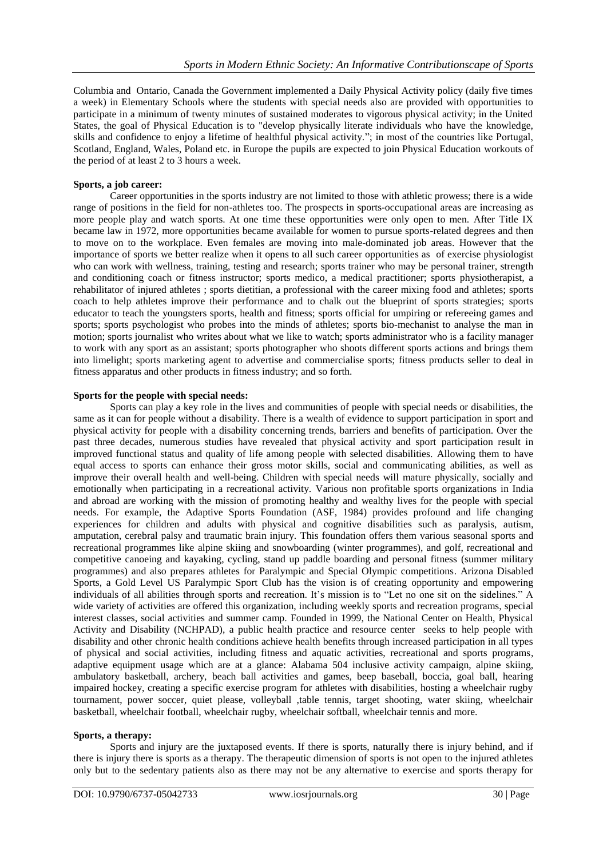Columbia and Ontario, Canada the Government implemented a Daily Physical Activity policy (daily five times a week) in Elementary Schools where the students with special needs also are provided with opportunities to participate in a minimum of twenty minutes of sustained moderates to vigorous physical activity; in the United States, the goal of Physical Education is to "develop physically literate individuals who have the knowledge, skills and confidence to enjoy a lifetime of healthful physical activity."; in most of the countries like Portugal, Scotland, England, Wales, Poland etc. in Europe the pupils are expected to join Physical Education workouts of the period of at least 2 to 3 hours a week.

## **Sports, a job career:**

Career opportunities in the sports industry are not limited to those with athletic prowess; there is a wide range of positions in the field for non-athletes too. The prospects in sports-occupational areas are increasing as more people play and watch sports. At one time these opportunities were only open to men. After Title IX became law in 1972, more opportunities became available for women to pursue sports-related degrees and then to move on to the workplace. Even females are moving into male-dominated job areas. However that the importance of sports we better realize when it opens to all such career opportunities as of exercise physiologist who can work with wellness, training, testing and research; sports trainer who may be personal trainer, strength and conditioning coach or fitness instructor; sports medico, a medical practitioner; sports physiotherapist, a rehabilitator of injured athletes ; sports dietitian, a professional with the career mixing food and athletes; sports coach to help athletes improve their performance and to chalk out the blueprint of sports strategies; sports educator to teach the youngsters sports, health and fitness; sports official for umpiring or refereeing games and sports; sports psychologist who probes into the minds of athletes; sports bio-mechanist to analyse the man in motion; sports journalist who writes about what we like to watch; sports administrator who is a facility manager to work with any sport as an assistant; sports photographer who shoots different sports actions and brings them into limelight; sports marketing agent to advertise and commercialise sports; fitness products seller to deal in fitness apparatus and other products in fitness industry; and so forth.

## **Sports for the people with special needs:**

Sports can play a key role in the lives and communities of people with special needs or disabilities, the same as it can for people without a disability. There is a wealth of evidence to support participation in sport and physical activity for people with a disability concerning trends, barriers and benefits of participation. Over the past three decades, numerous studies have revealed that physical activity and sport participation result in improved functional status and quality of life among people with selected disabilities. Allowing them to have equal access to sports can enhance their gross motor skills, social and communicating abilities, as well as improve their overall health and well-being. Children with special needs will mature physically, socially and emotionally when participating in a recreational activity. Various non profitable sports organizations in India and abroad are working with the mission of promoting healthy and wealthy lives for the people with special needs. For example, the Adaptive Sports Foundation (ASF, 1984) provides profound and life changing experiences for children and adults with physical and cognitive disabilities such as paralysis, autism, amputation, cerebral palsy and traumatic brain injury. This foundation offers them various seasonal sports and recreational programmes like alpine skiing and snowboarding (winter programmes), and golf, recreational and competitive canoeing and kayaking, cycling, stand up paddle boarding and personal fitness (summer military programmes) and also prepares athletes for Paralympic and Special Olympic competitions. Arizona Disabled Sports, a Gold Level US Paralympic Sport Club has the vision is of creating opportunity and empowering individuals of all abilities through sports and recreation. It's mission is to "Let no one sit on the sidelines." A wide variety of activities are offered this organization, including weekly sports and recreation programs, special interest classes, social activities and summer camp. Founded in 1999, the National Center on Health, Physical Activity and Disability (NCHPAD), a public health practice and resource center seeks to help people with disability and other chronic health conditions achieve health benefits through increased participation in all types of physical and social activities, including fitness and aquatic activities, recreational and sports programs, adaptive equipment usage which are at a glance: Alabama 504 inclusive activity campaign, alpine skiing, ambulatory basketball, archery, beach ball activities and games, beep baseball, boccia, goal ball, hearing impaired hockey, creating a specific exercise program for athletes with disabilities, hosting a wheelchair rugby tournament, power soccer, quiet please, volleyball ,table tennis, target shooting, water skiing, wheelchair basketball, wheelchair football, wheelchair rugby, wheelchair softball, wheelchair tennis and more.

#### **Sports, a therapy:**

Sports and injury are the juxtaposed events. If there is sports, naturally there is injury behind, and if there is injury there is sports as a therapy. The therapeutic dimension of sports is not open to the injured athletes only but to the sedentary patients also as there may not be any alternative to exercise and sports therapy for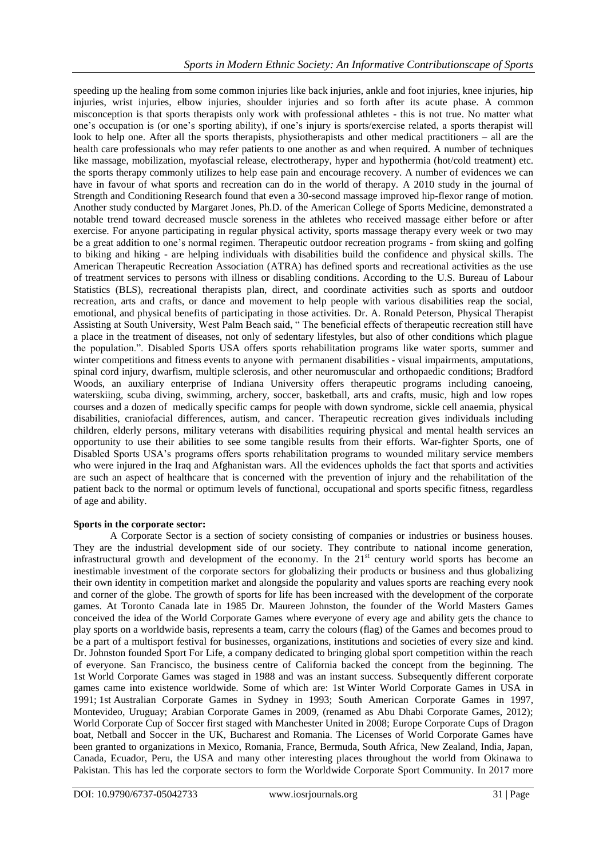speeding up the healing from some common injuries like back injuries, ankle and foot injuries, knee injuries, hip injuries, wrist injuries, elbow injuries, shoulder injuries and so forth after its acute phase. A common misconception is that sports therapists only work with professional athletes - this is not true. No matter what one"s occupation is (or one"s sporting ability), if one"s injury is sports/exercise related, a sports therapist will look to help one. After all the sports therapists, physiotherapists and other medical practitioners – all are the health care professionals who may refer patients to one another as and when required. A number of techniques like massage, mobilization, myofascial release, electrotherapy, hyper and hypothermia (hot/cold treatment) etc. the sports therapy commonly utilizes to help ease pain and encourage recovery. A number of evidences we can have in favour of what sports and recreation can do in the world of therapy. A 2010 study in the journal of Strength and Conditioning Research found that even a 30-second massage improved hip-flexor range of motion. Another study conducted by Margaret Jones, Ph.D. of the American College of Sports Medicine, demonstrated a notable trend toward decreased muscle soreness in the athletes who received massage either before or after exercise. For anyone participating in regular physical activity, sports massage therapy every week or two may be a great addition to one"s normal regimen. Therapeutic outdoor recreation programs - from skiing and golfing to biking and hiking - are helping individuals with disabilities build the confidence and physical skills. The American Therapeutic Recreation Association (ATRA) has defined sports and recreational activities as the use of treatment services to persons with illness or disabling conditions. According to the U.S. Bureau of Labour Statistics (BLS), [recreational therapists](http://www.bls.gov/ooh/healthcare/recreational-therapists.htm) plan, direct, and coordinate activities such as sports and outdoor recreation, arts and crafts, or dance and movement to help people with various disabilities reap the social, emotional, and physical benefits of participating in those activities. Dr. A. Ronald Peterson, [Physical Therapist](http://www.southuniversity.edu/nursing-and-health-professions-programs/physical-therapist-assisting-degrees-29011.aspx?source=SOSRC)  [Assisting](http://www.southuniversity.edu/nursing-and-health-professions-programs/physical-therapist-assisting-degrees-29011.aspx?source=SOSRC) at South University, West Palm Beach said, " The beneficial effects of therapeutic recreation still have a place in the treatment of diseases, not only of sedentary lifestyles, but also of other conditions which plague the population.". Disabled Sports USA offers sports rehabilitation programs like water sports, summer and winter competitions and fitness events to anyone with permanent disabilities - visual impairments, amputations, spinal cord injury, dwarfism, multiple sclerosis, and other neuromuscular and orthopaedic conditions; Bradford Woods, an auxiliary enterprise of Indiana University offers therapeutic programs including canoeing, waterskiing, scuba diving, swimming, archery, soccer, basketball, arts and crafts, music, high and low ropes courses and a dozen of medically specific camps for people with down syndrome, sickle cell anaemia, physical disabilities, craniofacial differences, autism, and cancer. Therapeutic recreation gives individuals including children, elderly persons, military veterans with disabilities requiring physical and mental health services an opportunity to use their abilities to see some tangible results from their efforts. War-fighter Sports, one of Disabled Sports USA's programs offers sports rehabilitation programs to wounded military service members who were injured in the Iraq and Afghanistan wars. All the evidences upholds the fact that sports and activities are such an aspect of healthcare that is concerned with the prevention of injury and the rehabilitation of the patient back to the normal or optimum levels of functional, occupational and sports specific fitness, regardless of age and ability.

# **Sports in the corporate sector:**

A Corporate Sector is a section of society consisting of companies or industries or business houses. They are the industrial development side of our society. They contribute to national income generation, infrastructural growth and development of the economy. In the 21<sup>st</sup> century world sports has become an inestimable investment of the corporate sectors for globalizing their products or business and thus globalizing their own identity in competition market and alongside the popularity and values sports are reaching every nook and corner of the globe. The growth of sports for life has been increased with the development of the corporate games. At Toronto Canada late in 1985 Dr. Maureen Johnston, the founder of the World Masters Games conceived the idea of the World Corporate Games where everyone of every age and ability gets the chance to play sports on a worldwide basis, represents a team, carry the colours (flag) of the Games and becomes proud to be a part of a multisport festival for businesses, organizations, institutions and societies of every size and kind. Dr. Johnston founded Sport For Life, a company dedicated to bringing global sport competition within the reach of everyone. San Francisco, the business centre of California backed the concept from the beginning. The 1st World Corporate Games was staged in 1988 and was an instant success. Subsequently different corporate games came into existence worldwide. Some of which are: 1st Winter World Corporate Games in USA in 1991; 1st Australian Corporate Games in Sydney in 1993; South American Corporate Games in 1997, Montevideo, Uruguay; Arabian Corporate Games in 2009, (renamed as Abu Dhabi Corporate Games, 2012); World Corporate Cup of Soccer first staged with Manchester United in 2008; Europe Corporate Cups of Dragon boat, Netball and Soccer in the UK, Bucharest and Romania. The Licenses of World Corporate Games have been granted to organizations in Mexico, Romania, France, Bermuda, South Africa, New Zealand, India, Japan, Canada, Ecuador, Peru, the USA and many other interesting places throughout the world from Okinawa to Pakistan. This has led the corporate sectors to form the Worldwide Corporate Sport Community. In 2017 more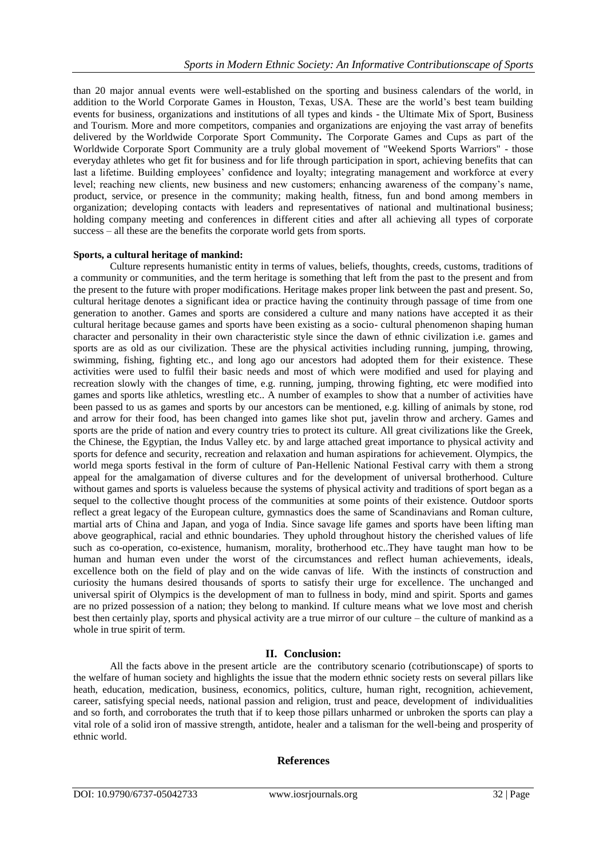than 20 major annual events were well-established on the sporting and business calendars of the world, in addition to the World Corporate Games in Houston, Texas, USA. These are the world"s best team building events for business, organizations and institutions of all types and kinds - the Ultimate Mix of Sport, Business and Tourism. More and more competitors, companies and organizations are enjoying the vast array of benefits delivered by the Worldwide Corporate Sport Community**.** The Corporate Games and Cups as part of the Worldwide Corporate Sport Community are a truly global movement of "Weekend Sports Warriors" - those everyday athletes who get fit for business and for life through participation in sport, achieving benefits that can last a lifetime. Building employees' confidence and loyalty; integrating management and workforce at every level; reaching new clients, new business and new customers; enhancing awareness of the company"s name, product, service, or presence in the community; making health, fitness, fun and bond among members in organization; developing contacts with leaders and representatives of national and multinational business; holding company meeting and conferences in different cities and after all achieving all types of corporate success – all these are the benefits the corporate world gets from sports.

## **Sports, a cultural heritage of mankind:**

Culture represents humanistic entity in terms of values, beliefs, thoughts, creeds, customs, traditions of a community or communities, and the term heritage is something that left from the past to the present and from the present to the future with proper modifications. Heritage makes proper link between the past and present. So, cultural heritage denotes a significant idea or practice having the continuity through passage of time from one generation to another. Games and sports are considered a culture and many nations have accepted it as their cultural heritage because games and sports have been existing as a socio- cultural phenomenon shaping human character and personality in their own characteristic style since the dawn of ethnic civilization i.e. games and sports are as old as our civilization. These are the physical activities including running, jumping, throwing, swimming, fishing, fighting etc., and long ago our ancestors had adopted them for their existence. These activities were used to fulfil their basic needs and most of which were modified and used for playing and recreation slowly with the changes of time, e.g. running, jumping, throwing fighting, etc were modified into games and sports like athletics, wrestling etc.. A number of examples to show that a number of activities have been passed to us as games and sports by our ancestors can be mentioned, e.g. killing of animals by stone, rod and arrow for their food, has been changed into games like shot put, javelin throw and archery. Games and sports are the pride of nation and every country tries to protect its culture. All great civilizations like the Greek, the Chinese, the Egyptian, the Indus Valley etc. by and large attached great importance to physical activity and sports for defence and security, recreation and relaxation and human aspirations for achievement. Olympics, the world mega sports festival in the form of culture of Pan-Hellenic National Festival carry with them a strong appeal for the amalgamation of diverse cultures and for the development of universal brotherhood. Culture without games and sports is valueless because the systems of physical activity and traditions of sport began as a sequel to the collective thought process of the communities at some points of their existence. Outdoor sports reflect a great legacy of the European culture, gymnastics does the same of Scandinavians and Roman culture, martial arts of China and Japan, and yoga of India. Since savage life games and sports have been lifting man above geographical, racial and ethnic boundaries. They uphold throughout history the cherished values of life such as co-operation, co-existence, humanism, morality, brotherhood etc..They have taught man how to be human and human even under the worst of the circumstances and reflect human achievements, ideals, excellence both on the field of play and on the wide canvas of life. With the instincts of construction and curiosity the humans desired thousands of sports to satisfy their urge for excellence. The unchanged and universal spirit of Olympics is the development of man to fullness in body, mind and spirit. Sports and games are no prized possession of a nation; they belong to mankind. If culture means what we love most and cherish best then certainly play, sports and physical activity are a true mirror of our culture – the culture of mankind as a whole in true spirit of term.

# **II. Conclusion:**

All the facts above in the present article are the contributory scenario (cotributionscape) of sports to the welfare of human society and highlights the issue that the modern ethnic society rests on several pillars like heath, education, medication, business, economics, politics, culture, human right, recognition, achievement, career, satisfying special needs, national passion and religion, trust and peace, development of individualities and so forth, and corroborates the truth that if to keep those pillars unharmed or unbroken the sports can play a vital role of a solid iron of massive strength, antidote, healer and a talisman for the well-being and prosperity of ethnic world.

# **References**